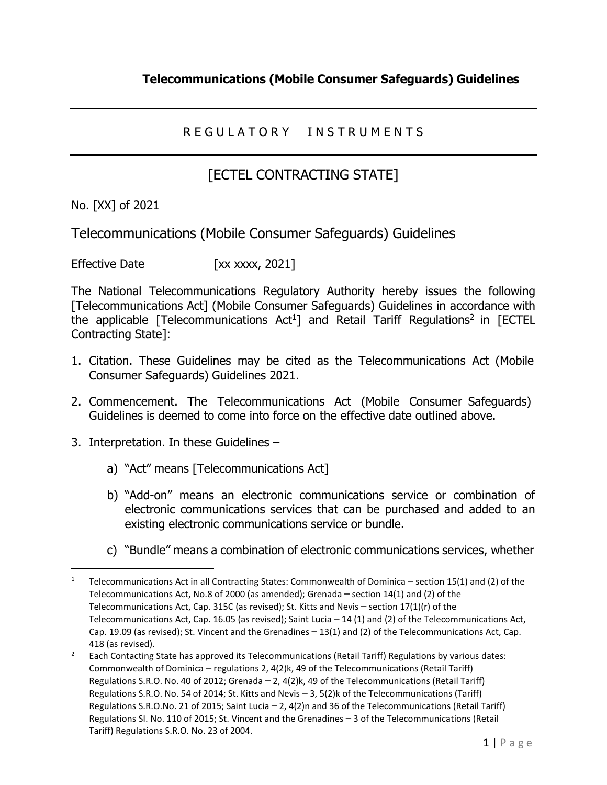## R E G U L A T O R Y IN STRUMENTS

## [ECTEL CONTRACTING STATE]

No. [XX] of 2021

Telecommunications (Mobile Consumer Safeguards) Guidelines

Effective Date [xx xxxx, 2021]

The National Telecommunications Regulatory Authority hereby issues the following [Telecommunications Act] (Mobile Consumer Safeguards) Guidelines in accordance with the applicable [Telecommunications  $Act<sup>1</sup>$ ] and Retail Tariff Regulations<sup>2</sup> in [ECTEL Contracting State]:

- 1. Citation. These Guidelines may be cited as the Telecommunications Act (Mobile Consumer Safeguards) Guidelines 2021.
- 2. Commencement. The Telecommunications Act (Mobile Consumer Safeguards) Guidelines is deemed to come into force on the effective date outlined above.
- 3. Interpretation. In these Guidelines
	- a) "Act" means [Telecommunications Act]
	- b) "Add-on" means an electronic communications service or combination of electronic communications services that can be purchased and added to an existing electronic communications service or bundle.
	- c) "Bundle" means a combination of electronic communications services, whether

<sup>&</sup>lt;sup>1</sup> Telecommunications Act in all Contracting States: Commonwealth of Dominica – section 15(1) and (2) of the Telecommunications Act, No.8 of 2000 (as amended); Grenada – section 14(1) and (2) of the Telecommunications Act, Cap. 315C (as revised); St. Kitts and Nevis – section 17(1)(r) of the Telecommunications Act, Cap. 16.05 (as revised); Saint Lucia – 14 (1) and (2) of the Telecommunications Act, Cap. 19.09 (as revised); St. Vincent and the Grenadines – 13(1) and (2) of the Telecommunications Act, Cap. 418 (as revised).

<sup>&</sup>lt;sup>2</sup> Each Contacting State has approved its Telecommunications (Retail Tariff) Regulations by various dates: Commonwealth of Dominica – regulations 2, 4(2)k, 49 of the Telecommunications (Retail Tariff) Regulations S.R.O. No. 40 of 2012; Grenada – 2, 4(2)k, 49 of the Telecommunications (Retail Tariff) Regulations S.R.O. No. 54 of 2014; St. Kitts and Nevis – 3, 5(2)k of the Telecommunications (Tariff) Regulations S.R.O.No. 21 of 2015; Saint Lucia – 2, 4(2)n and 36 of the Telecommunications (Retail Tariff) Regulations SI. No. 110 of 2015; St. Vincent and the Grenadines – 3 of the Telecommunications (Retail

Tariff) Regulations S.R.O. No. 23 of 2004.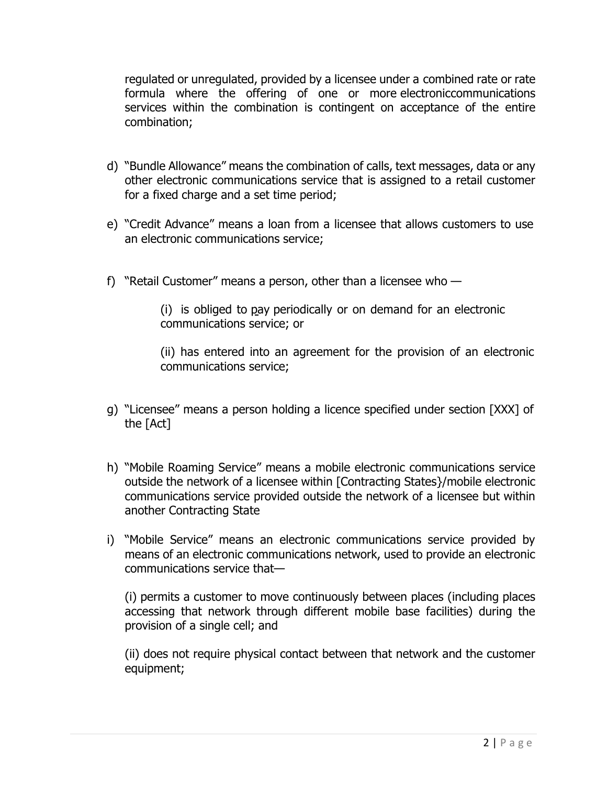regulated or unregulated, provided by a licensee under a combined rate or rate formula where the offering of one or more electroniccommunications services within the combination is contingent on acceptance of the entire combination;

- d) "Bundle Allowance" means the combination of calls, text messages, data or any other electronic communications service that is assigned to a retail customer for a fixed charge and a set time period;
- e) "Credit Advance" means a loan from a licensee that allows customers to use an electronic communications service;
- f) "Retail Customer" means a person, other than a licensee who  $-$

(i) is obliged to pay periodically or on demand for an electronic communications service; or

(ii) has entered into an agreement for the provision of an electronic communications service;

- g) "Licensee" means a person holding a licence specified under section [XXX] of the [Act]
- h) "Mobile Roaming Service" means a mobile electronic communications service outside the network of a licensee within [Contracting States}/mobile electronic communications service provided outside the network of a licensee but within another Contracting State
- i) "Mobile Service" means an electronic communications service provided by means of an electronic communications network, used to provide an electronic communications service that—

(i) permits a customer to move continuously between places (including places accessing that network through different mobile base facilities) during the provision of a single cell; and

(ii) does not require physical contact between that network and the customer equipment;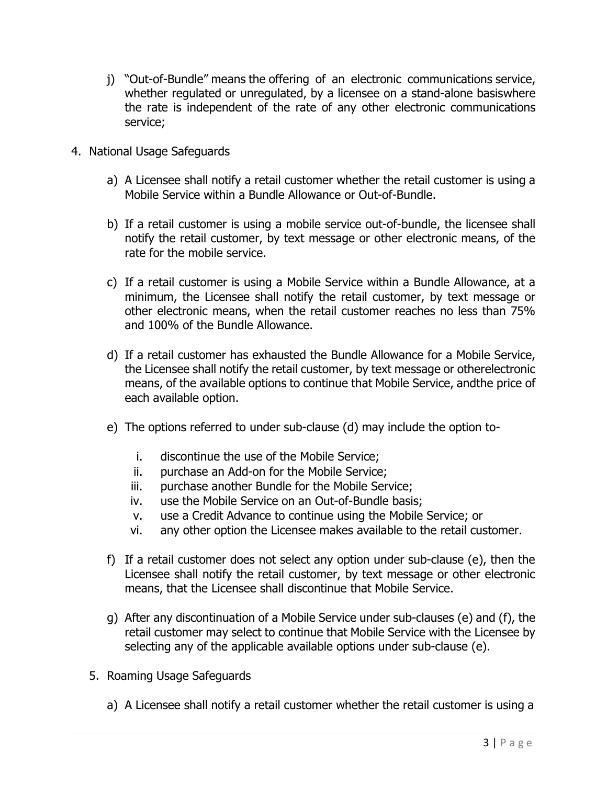- j) "Out-of-Bundle" means the offering of an electronic communications service, whether regulated or unregulated, by a licensee on a stand-alone basiswhere the rate is independent of the rate of any other electronic communications service;
- 4. National Usage Safeguards
	- a) A Licensee shall notify a retail customer whether the retail customer is using a Mobile Service within a Bundle Allowance or Out-of-Bundle.
	- b) If a retail customer is using a mobile service out-of-bundle, the licensee shall notify the retail customer, by text message or other electronic means, of the rate for the mobile service.
	- c) If a retail customer is using a Mobile Service within a Bundle Allowance, at a minimum, the Licensee shall notify the retail customer, by text message or other electronic means, when the retail customer reaches no less than 75% and 100% of the Bundle Allowance.
	- d) If a retail customer has exhausted the Bundle Allowance for a Mobile Service, the Licensee shall notify the retail customer, by text message or otherelectronic means, of the available options to continue that Mobile Service, andthe price of each available option.
	- e) The options referred to under sub-clause (d) may include the option to
		- i. discontinue the use of the Mobile Service;
		- ii. purchase an Add-on for the Mobile Service;
		- iii. purchase another Bundle for the Mobile Service;
		- iv. use the Mobile Service on an Out-of-Bundle basis;
		- v. use a Credit Advance to continue using the Mobile Service; or
		- vi. any other option the Licensee makes available to the retail customer.
	- f) If a retail customer does not select any option under sub-clause (e), then the Licensee shall notify the retail customer, by text message or other electronic means, that the Licensee shall discontinue that Mobile Service.
	- g) After any discontinuation of a Mobile Service under sub-clauses (e) and (f), the retail customer may select to continue that Mobile Service with the Licensee by selecting any of the applicable available options under sub-clause (e).
	- 5. Roaming Usage Safeguards
		- a) A Licensee shall notify a retail customer whether the retail customer is using a